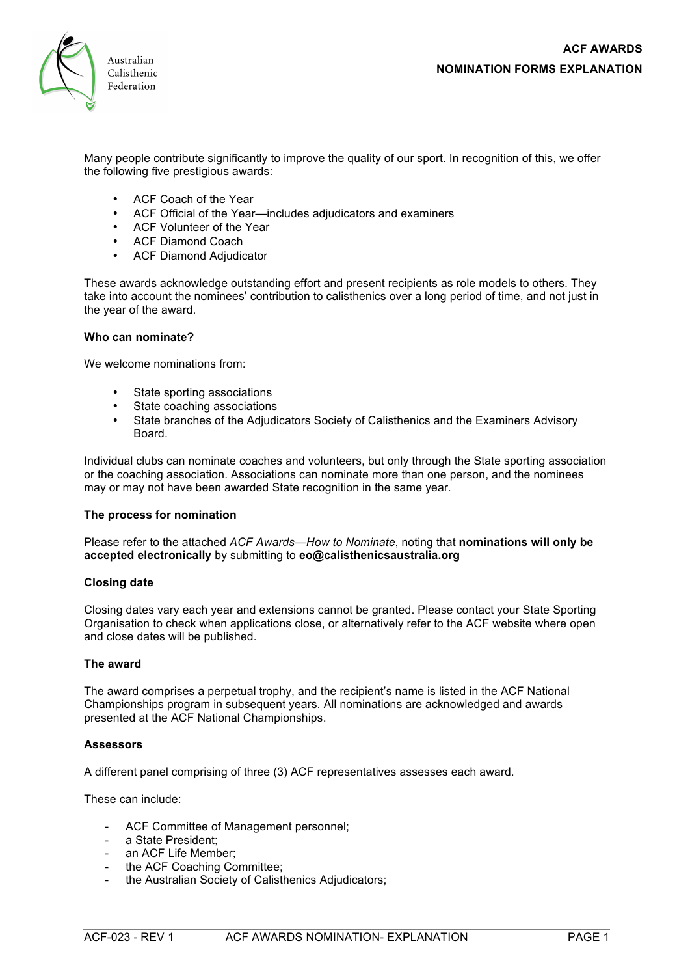

Many people contribute significantly to improve the quality of our sport. In recognition of this, we offer the following five prestigious awards:

- ACF Coach of the Year
- ACF Official of the Year—includes adjudicators and examiners
- ACF Volunteer of the Year
- ACF Diamond Coach
- ACF Diamond Adjudicator

These awards acknowledge outstanding effort and present recipients as role models to others. They take into account the nominees' contribution to calisthenics over a long period of time, and not just in the year of the award.

# **Who can nominate?**

We welcome nominations from:

- State sporting associations
- State coaching associations
- State branches of the Adjudicators Society of Calisthenics and the Examiners Advisory Board.

Individual clubs can nominate coaches and volunteers, but only through the State sporting association or the coaching association. Associations can nominate more than one person, and the nominees may or may not have been awarded State recognition in the same year.

# **The process for nomination**

Please refer to the attached *ACF Awards—How to Nominate*, noting that **nominations will only be accepted electronically** by submitting to **eo@calisthenicsaustralia.org**

# **Closing date**

Closing dates vary each year and extensions cannot be granted. Please contact your State Sporting Organisation to check when applications close, or alternatively refer to the ACF website where open and close dates will be published.

# **The award**

The award comprises a perpetual trophy, and the recipient's name is listed in the ACF National Championships program in subsequent years. All nominations are acknowledged and awards presented at the ACF National Championships.

# **Assessors**

A different panel comprising of three (3) ACF representatives assesses each award.

These can include:

- ACF Committee of Management personnel;
- a State President:
- an ACF Life Member:
- the ACF Coaching Committee;
- the Australian Society of Calisthenics Adjudicators;